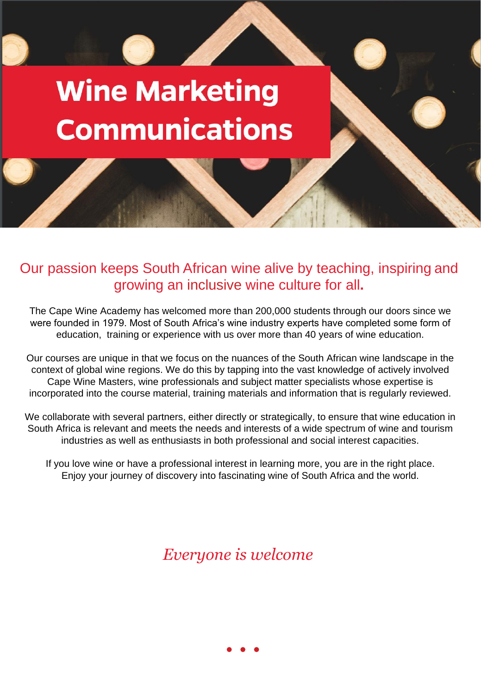## **Wine Marketing Communications**

## Our passion keeps South African wine alive by teaching, inspiring and growing an inclusive wine culture for all**.**

The Cape Wine Academy has welcomed more than 200,000 students through our doors since we were founded in 1979. Most of South Africa's wine industry experts have completed some form of education, training or experience with us over more than 40 years of wine education.

Our courses are unique in that we focus on the nuances of the South African wine landscape in the context of global wine regions. We do this by tapping into the vast knowledge of actively involved Cape Wine Masters, wine professionals and subject matter specialists whose expertise is incorporated into the course material, training materials and information that is regularly reviewed.

We collaborate with several partners, either directly or strategically, to ensure that wine education in South Africa is relevant and meets the needs and interests of a wide spectrum of wine and tourism industries as well as enthusiasts in both professional and social interest capacities.

If you love wine or have a professional interest in learning more, you are in the right place. Enjoy your journey of discovery into fascinating wine of South Africa and the world.

*Everyone is welcome*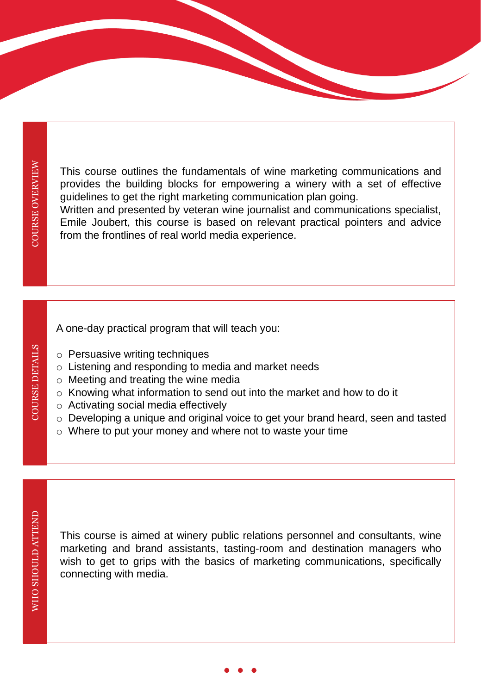**COURSE DETAILS** 

This course outlines the fundamentals of wine marketing communications and provides the building blocks for empowering a winery with a set of effective guidelines to get the right marketing communication plan going.

Written and presented by veteran wine journalist and communications specialist, Emile Joubert, this course is based on relevant practical pointers and advice from the frontlines of real world media experience.

A one-day practical program that will teach you:

- o Persuasive writing techniques
- o Listening and responding to media and market needs
- o Meeting and treating the wine media
- o Knowing what information to send out into the market and how to do it
- o Activating social media effectively
- o Developing a unique and original voice to get your brand heard, seen and tasted
- o Where to put your money and where not to waste your time

This course is aimed at winery public relations personnel and consultants, wine marketing and brand assistants, tasting-room and destination managers who wish to get to grips with the basics of marketing communications, specifically connecting with media.